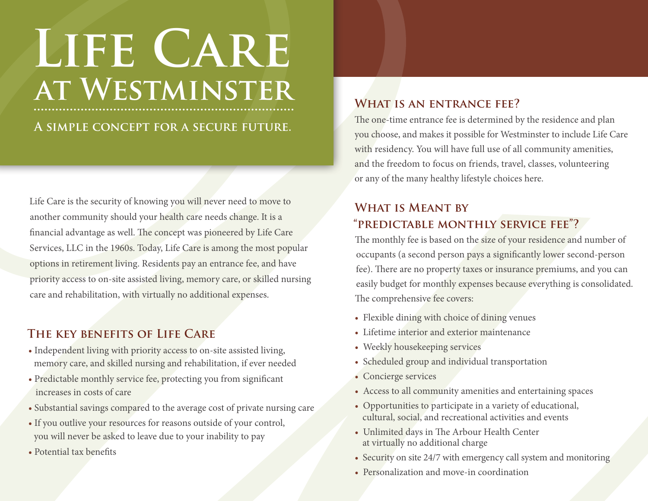# **Life Care at Westminster**

**A simple concept for a secure future.**

Life Care is the security of knowing you will never need to move to another community should your health care needs change. It is a financial advantage as well. The concept was pioneered by Life Care Services, LLC in the 1960s. Today, Life Care is among the most popular options in retirement living. Residents pay an entrance fee, and have priority access to on-site assisted living, memory care, or skilled nursing care and rehabilitation, with virtually no additional expenses.

### **The key benefits of Life Care**

- Independent living with priority access to on-site assisted living, memory care, and skilled nursing and rehabilitation, if ever needed
- Predictable monthly service fee, protecting you from significant increases in costs of care
- Substantial savings compared to the average cost of private nursing care
- If you outlive your resources for reasons outside of your control, you will never be asked to leave due to your inability to pay
- Potential tax benefits

### **What is an entrance fee?**

The one-time entrance fee is determined by the residence and plan you choose, and makes it possible for Westminster to include Life Care with residency. You will have full use of all community amenities, and the freedom to focus on friends, travel, classes, volunteering or any of the many healthy lifestyle choices here.

## **What is Meant by "predictable monthly service fee"?**

The monthly fee is based on the size of your residence and number of occupants (a second person pays a significantly lower second-person fee). There are no property taxes or insurance premiums, and you can easily budget for monthly expenses because everything is consolidated. The comprehensive fee covers:

- Flexible dining with choice of dining venues
- Lifetime interior and exterior maintenance
- Weekly housekeeping services
- Scheduled group and individual transportation
- Concierge services
- Access to all community amenities and entertaining spaces
- Opportunities to participate in a variety of educational, cultural, social, and recreational activities and events
- Unlimited days in The Arbour Health Center at virtually no additional charge
- Security on site 24/7 with emergency call system and monitoring
- Personalization and move-in coordination